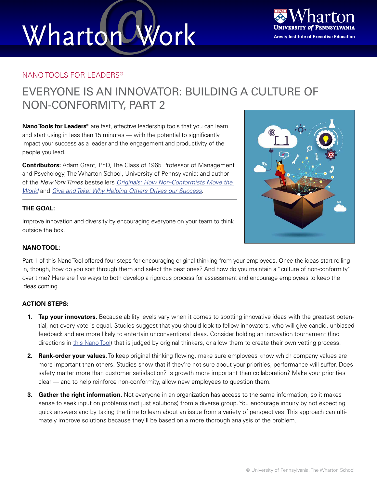# Wharton Work



### NANO TOOLS FOR LEADERS®

### EVERYONE IS AN INNOVATOR: BUILDING A CULTURE OF NON-CONFORMITY, PART 2

**Nano Tools for Leaders®** are fast, effective leadership tools that you can learn and start using in less than 15 minutes — with the potential to significantly impact your success as a leader and the engagement and productivity of the people you lead.

**Contributors:** Adam Grant, PhD, The Class of 1965 Professor of Management and Psychology, The Wharton School, University of Pennsylvania; and author of the *New York Times* bestsellers *[Originals: How Non-Conformists Move the](http://www.adamgrant.net/#!originals/c1ckh)  [World](http://www.adamgrant.net/#!originals/c1ckh)* and *[Give and Take: Why Helping Others Drives our Success](http://www.adamgrant.net/#!giveandtake/c1aev)*.

### **THE GOAL:**

Improve innovation and diversity by encouraging everyone on your team to think outside the box.



### **NANO TOOL:**

Part 1 of this Nano Tool offered four steps for encouraging original thinking from your employees. Once the ideas start rolling in, though, how do you sort through them and select the best ones? And how do you maintain a "culture of non-conformity" over time? Here are five ways to both develop a rigorous process for assessment and encourage employees to keep the ideas coming.

### **ACTION STEPS:**

- **1. Tap your innovators.** Because ability levels vary when it comes to spotting innovative ideas with the greatest potential, not every vote is equal. Studies suggest that you should look to fellow innovators, who will give candid, unbiased feedback and are more likely to entertain unconventional ideas. Consider holding an innovation tournament (find directions in [this Nano Tool\)](https://executiveeducation.wharton.upenn.edu/thought-leadership/wharton-at-work/nano-tools/) that is judged by original thinkers, or allow them to create their own vetting process.
- **2. Rank-order your values.** To keep original thinking flowing, make sure employees know which company values are more important than others. Studies show that if they're not sure about your priorities, performance will suffer. Does safety matter more than customer satisfaction? Is growth more important than collaboration? Make your priorities clear — and to help reinforce non-conformity, allow new employees to question them.
- **3. Gather the right information.** Not everyone in an organization has access to the same information, so it makes sense to seek input on problems (not just solutions) from a diverse group. You encourage inquiry by not expecting quick answers and by taking the time to learn about an issue from a variety of perspectives. This approach can ultimately improve solutions because they'll be based on a more thorough analysis of the problem.